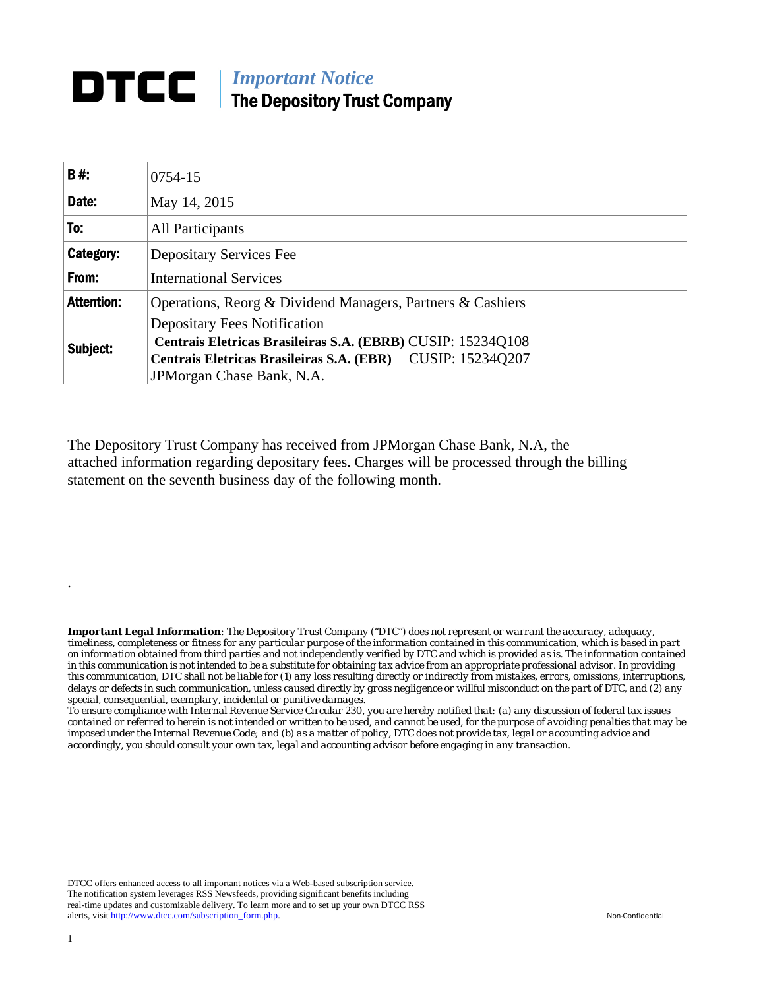## **DTCC** | *Important Notice* The Depository Trust Company

| B#:               | 0754-15                                                     |
|-------------------|-------------------------------------------------------------|
| Date:             | May 14, 2015                                                |
| To:               | All Participants                                            |
| Category:         | <b>Depositary Services Fee</b>                              |
| From:             | <b>International Services</b>                               |
| <b>Attention:</b> | Operations, Reorg & Dividend Managers, Partners & Cashiers  |
| Subject:          | <b>Depositary Fees Notification</b>                         |
|                   | Centrais Eletricas Brasileiras S.A. (EBRB) CUSIP: 15234Q108 |
|                   | Centrais Eletricas Brasileiras S.A. (EBR) CUSIP: 15234Q207  |
|                   | JPM organ Chase Bank, N.A.                                  |

The Depository Trust Company has received from JPMorgan Chase Bank, N.A, the attached information regarding depositary fees. Charges will be processed through the billing statement on the seventh business day of the following month.

*Important Legal Information: The Depository Trust Company ("DTC") does not represent or warrant the accuracy, adequacy, timeliness, completeness or fitness for any particular purpose of the information contained in this communication, which is based in part on information obtained from third parties and not independently verified by DTC and which is provided as is. The information contained in this communication is not intended to be a substitute for obtaining tax advice from an appropriate professional advisor. In providing this communication, DTC shall not be liable for (1) any loss resulting directly or indirectly from mistakes, errors, omissions, interruptions, delays or defects in such communication, unless caused directly by gross negligence or willful misconduct on the part of DTC, and (2) any special, consequential, exemplary, incidental or punitive damages.* 

*To ensure compliance with Internal Revenue Service Circular 230, you are hereby notified that: (a) any discussion of federal tax issues contained or referred to herein is not intended or written to be used, and cannot be used, for the purpose of avoiding penalties that may be imposed under the Internal Revenue Code; and (b) as a matter of policy, DTC does not provide tax, legal or accounting advice and accordingly, you should consult your own tax, legal and accounting advisor before engaging in any transaction.*

DTCC offers enhanced access to all important notices via a Web-based subscription service. The notification system leverages RSS Newsfeeds, providing significant benefits including real-time updates and customizable delivery. To learn more and to set up your own DTCC RSS alerts, visit http://www.dtcc.com/subscription\_form.php. Non-Confidential

.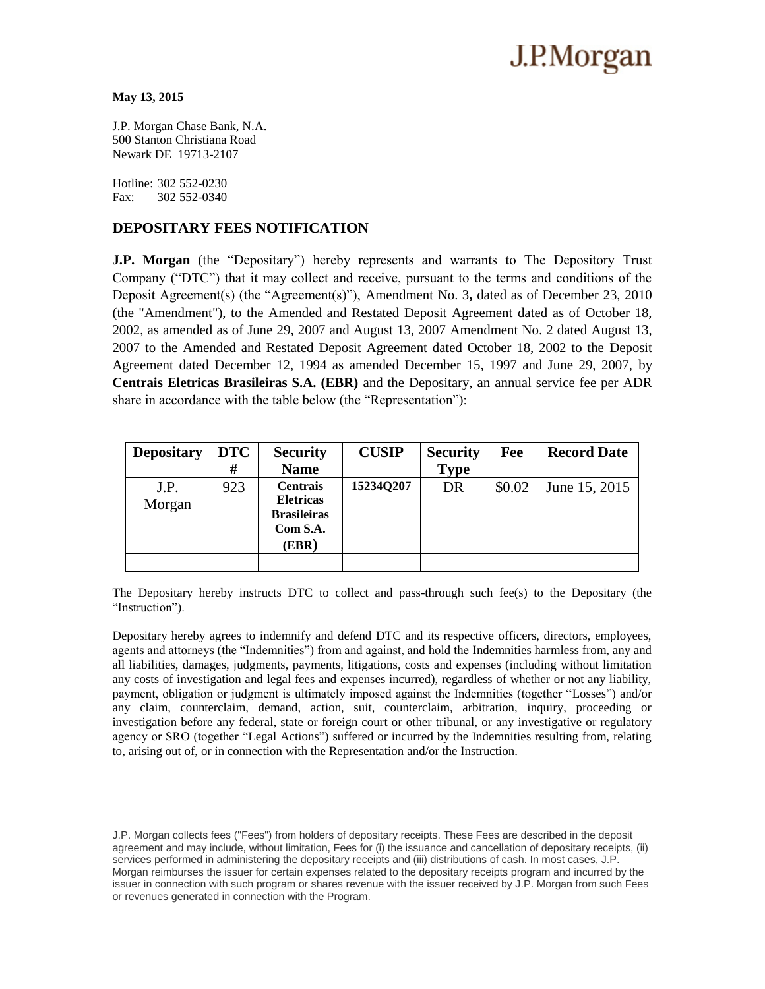# J.P.Morgan

#### **May 13, 2015**

J.P. Morgan Chase Bank, N.A. 500 Stanton Christiana Road Newark DE 19713-2107

Hotline: 302 552-0230 Fax: 302 552-0340

### **DEPOSITARY FEES NOTIFICATION**

**J.P. Morgan** (the "Depositary") hereby represents and warrants to The Depository Trust Company ("DTC") that it may collect and receive, pursuant to the terms and conditions of the Deposit Agreement(s) (the "Agreement(s)"), Amendment No. 3**,** dated as of December 23, 2010 (the "Amendment"), to the Amended and Restated Deposit Agreement dated as of October 18, 2002, as amended as of June 29, 2007 and August 13, 2007 Amendment No. 2 dated August 13, 2007 to the Amended and Restated Deposit Agreement dated October 18, 2002 to the Deposit Agreement dated December 12, 1994 as amended December 15, 1997 and June 29, 2007, by **Centrais Eletricas Brasileiras S.A. (EBR)** and the Depositary, an annual service fee per ADR share in accordance with the table below (the "Representation"):

| <b>Depositary</b> | <b>DTC</b> | <b>Security</b>                                                                | <b>CUSIP</b> | <b>Security</b> | Fee    | <b>Record Date</b> |
|-------------------|------------|--------------------------------------------------------------------------------|--------------|-----------------|--------|--------------------|
|                   | #          | <b>Name</b>                                                                    |              | <b>Type</b>     |        |                    |
| J.P.<br>Morgan    | 923        | <b>Centrais</b><br><b>Eletricas</b><br><b>Brasileiras</b><br>Com S.A.<br>(EBR) | 15234Q207    | DR              | \$0.02 | June 15, 2015      |
|                   |            |                                                                                |              |                 |        |                    |

The Depositary hereby instructs DTC to collect and pass-through such fee(s) to the Depositary (the "Instruction").

Depositary hereby agrees to indemnify and defend DTC and its respective officers, directors, employees, agents and attorneys (the "Indemnities") from and against, and hold the Indemnities harmless from, any and all liabilities, damages, judgments, payments, litigations, costs and expenses (including without limitation any costs of investigation and legal fees and expenses incurred), regardless of whether or not any liability, payment, obligation or judgment is ultimately imposed against the Indemnities (together "Losses") and/or any claim, counterclaim, demand, action, suit, counterclaim, arbitration, inquiry, proceeding or investigation before any federal, state or foreign court or other tribunal, or any investigative or regulatory agency or SRO (together "Legal Actions") suffered or incurred by the Indemnities resulting from, relating to, arising out of, or in connection with the Representation and/or the Instruction.

J.P. Morgan collects fees ("Fees") from holders of depositary receipts. These Fees are described in the deposit agreement and may include, without limitation, Fees for (i) the issuance and cancellation of depositary receipts, (ii) services performed in administering the depositary receipts and (iii) distributions of cash. In most cases, J.P. Morgan reimburses the issuer for certain expenses related to the depositary receipts program and incurred by the issuer in connection with such program or shares revenue with the issuer received by J.P. Morgan from such Fees or revenues generated in connection with the Program.